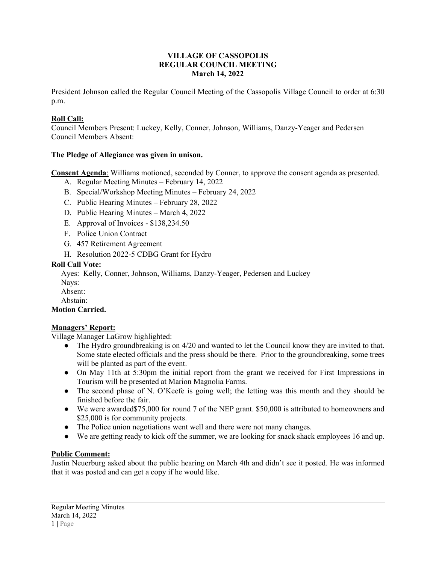#### **VILLAGE OF CASSOPOLIS REGULAR COUNCIL MEETING March 14, 2022**

President Johnson called the Regular Council Meeting of the Cassopolis Village Council to order at 6:30 p.m.

## **Roll Call:**

Council Members Present: Luckey, Kelly, Conner, Johnson, Williams, Danzy-Yeager and Pedersen Council Members Absent:

## **The Pledge of Allegiance was given in unison.**

**Consent Agenda**: Williams motioned, seconded by Conner, to approve the consent agenda as presented.

- A. Regular Meeting Minutes February 14, 2022
- B. Special/Workshop Meeting Minutes February 24, 2022
- C. Public Hearing Minutes February 28, 2022
- D. Public Hearing Minutes March 4, 2022
- E. Approval of Invoices \$138,234.50
- F. Police Union Contract
- G. 457 Retirement Agreement
- H. Resolution 2022-5 CDBG Grant for Hydro

#### **Roll Call Vote:**

Ayes: Kelly, Conner, Johnson, Williams, Danzy-Yeager, Pedersen and Luckey

Nays:

Absent:

Abstain:

# **Motion Carried.**

## **Managers' Report:**

Village Manager LaGrow highlighted:

- The Hydro groundbreaking is on 4/20 and wanted to let the Council know they are invited to that. Some state elected officials and the press should be there. Prior to the groundbreaking, some trees will be planted as part of the event.
- On May 11th at 5:30pm the initial report from the grant we received for First Impressions in Tourism will be presented at Marion Magnolia Farms.
- The second phase of N. O'Keefe is going well; the letting was this month and they should be finished before the fair.
- We were awarded\$75,000 for round 7 of the NEP grant. \$50,000 is attributed to homeowners and \$25,000 is for community projects.
- The Police union negotiations went well and there were not many changes.
- We are getting ready to kick off the summer, we are looking for snack shack employees 16 and up.

## **Public Comment:**

Justin Neuerburg asked about the public hearing on March 4th and didn't see it posted. He was informed that it was posted and can get a copy if he would like.